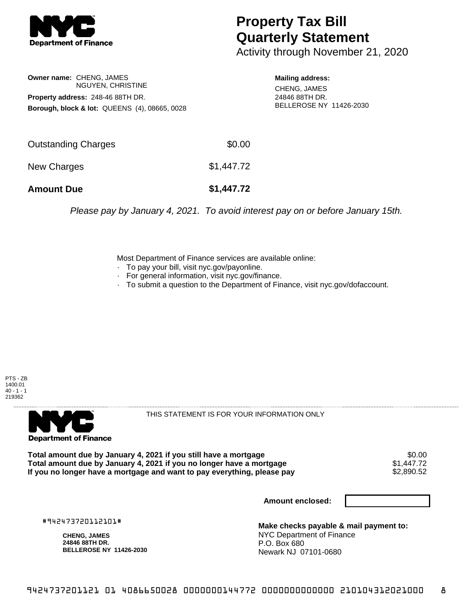

## **Property Tax Bill Quarterly Statement**

Activity through November 21, 2020

**Owner name:** CHENG, JAMES NGUYEN, CHRISTINE **Property address:** 248-46 88TH DR. **Borough, block & lot:** QUEENS (4), 08665, 0028

**Mailing address:** CHENG, JAMES 24846 88TH DR. BELLEROSE NY 11426-2030

| Outstanding Charges | \$0.00     |
|---------------------|------------|
| New Charges         | \$1,447.72 |
| <b>Amount Due</b>   | \$1,447.72 |

Please pay by January 4, 2021. To avoid interest pay on or before January 15th.

Most Department of Finance services are available online:

- · To pay your bill, visit nyc.gov/payonline.
- For general information, visit nyc.gov/finance.
- · To submit a question to the Department of Finance, visit nyc.gov/dofaccount.

PTS - ZB 1400.01  $40 - 1 - 1$ 219362



THIS STATEMENT IS FOR YOUR INFORMATION ONLY

Total amount due by January 4, 2021 if you still have a mortgage **\$0.00** \$0.00<br>Total amount due by January 4, 2021 if you no longer have a mortgage **\$1.447.72 Total amount due by January 4, 2021 if you no longer have a mortgage**  $$1,447.72$$ **<br>If you no longer have a mortgage and want to pay everything, please pay**  $$2,890.52$$ If you no longer have a mortgage and want to pay everything, please pay

**Amount enclosed:**

#942473720112101#

**CHENG, JAMES 24846 88TH DR. BELLEROSE NY 11426-2030**

**Make checks payable & mail payment to:** NYC Department of Finance P.O. Box 680 Newark NJ 07101-0680